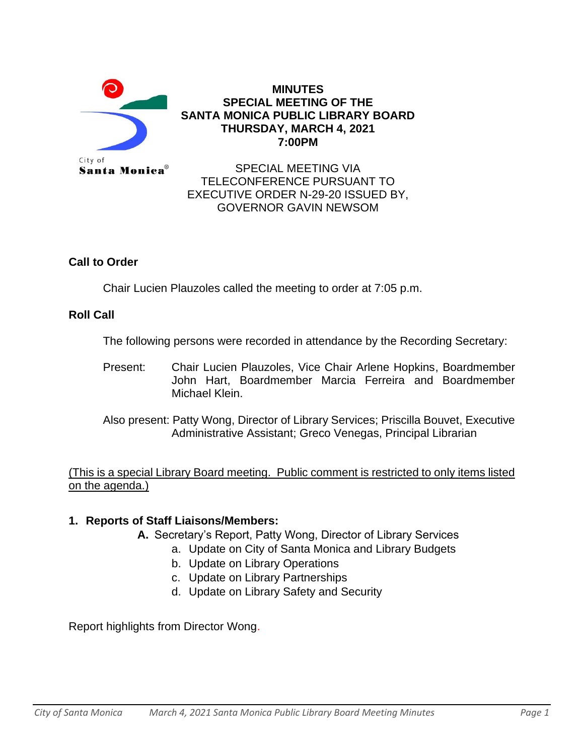

## **MINUTES SPECIAL MEETING OF THE SANTA MONICA PUBLIC LIBRARY BOARD THURSDAY, MARCH 4, 2021 7:00PM**

SPECIAL MEETING VIA TELECONFERENCE PURSUANT TO EXECUTIVE ORDER N-29-20 ISSUED BY, GOVERNOR GAVIN NEWSOM

# **Call to Order**

Chair Lucien Plauzoles called the meeting to order at 7:05 p.m.

# **Roll Call**

The following persons were recorded in attendance by the Recording Secretary:

Present: Chair Lucien Plauzoles, Vice Chair Arlene Hopkins, Boardmember John Hart, Boardmember Marcia Ferreira and Boardmember Michael Klein.

Also present: Patty Wong, Director of Library Services; Priscilla Bouvet, Executive Administrative Assistant; Greco Venegas, Principal Librarian

(This is a special Library Board meeting. Public comment is restricted to only items listed on the agenda.)

# **1. Reports of Staff Liaisons/Members:**

- **A.** Secretary's Report, Patty Wong, Director of Library Services
	- a. Update on City of Santa Monica and Library Budgets
	- b. Update on Library Operations
	- c. Update on Library Partnerships
	- d. Update on Library Safety and Security

Report highlights from Director Wong.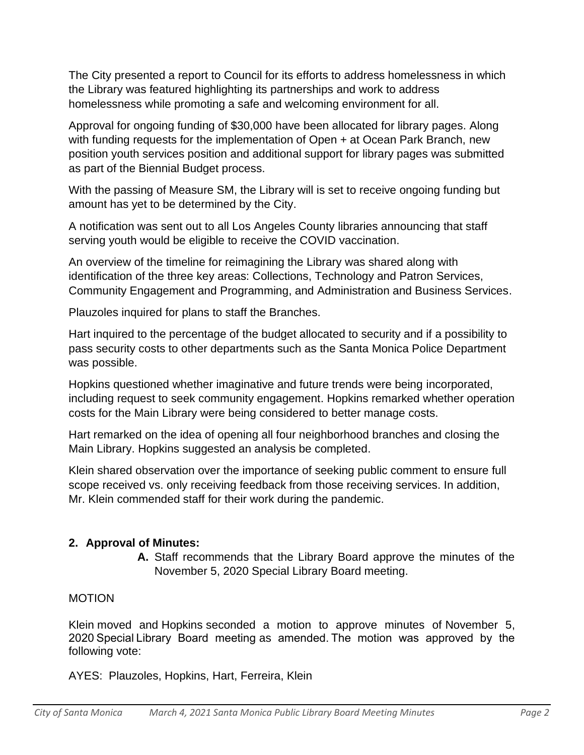The City presented a report to Council for its efforts to address homelessness in which the Library was featured highlighting its partnerships and work to address homelessness while promoting a safe and welcoming environment for all.

Approval for ongoing funding of \$30,000 have been allocated for library pages. Along with funding requests for the implementation of Open + at Ocean Park Branch, new position youth services position and additional support for library pages was submitted as part of the Biennial Budget process.

With the passing of Measure SM, the Library will is set to receive ongoing funding but amount has yet to be determined by the City.

A notification was sent out to all Los Angeles County libraries announcing that staff serving youth would be eligible to receive the COVID vaccination.

An overview of the timeline for reimagining the Library was shared along with identification of the three key areas: Collections, Technology and Patron Services, Community Engagement and Programming, and Administration and Business Services.

Plauzoles inquired for plans to staff the Branches.

Hart inquired to the percentage of the budget allocated to security and if a possibility to pass security costs to other departments such as the Santa Monica Police Department was possible.

Hopkins questioned whether imaginative and future trends were being incorporated, including request to seek community engagement. Hopkins remarked whether operation costs for the Main Library were being considered to better manage costs.

Hart remarked on the idea of opening all four neighborhood branches and closing the Main Library. Hopkins suggested an analysis be completed.

Klein shared observation over the importance of seeking public comment to ensure full scope received vs. only receiving feedback from those receiving services. In addition, Mr. Klein commended staff for their work during the pandemic.

# **2. Approval of Minutes:**

**A.** Staff recommends that the Library Board approve the minutes of the November 5, 2020 Special Library Board meeting.

# MOTION

Klein moved and Hopkins seconded a motion to approve minutes of November 5, 2020 Special Library Board meeting as amended. The motion was approved by the following vote:

AYES: Plauzoles, Hopkins, Hart, Ferreira, Klein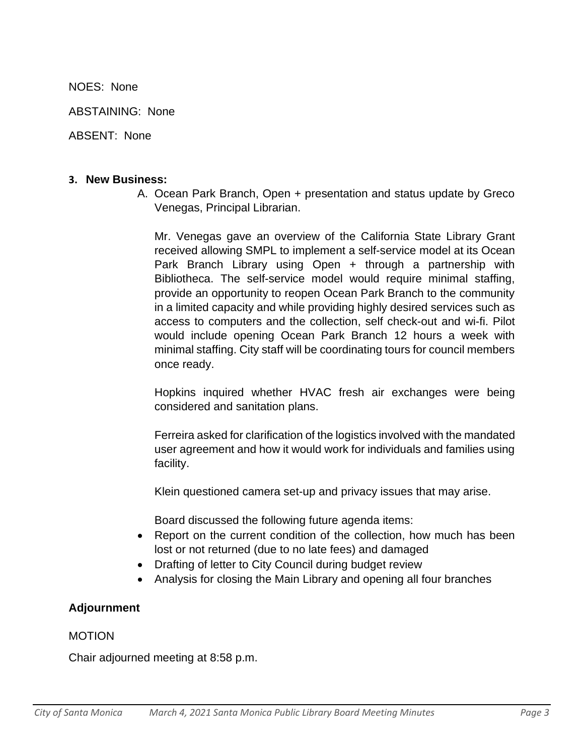NOES: None

ABSTAINING: None

ABSENT: None

#### **3. New Business:**

A. Ocean Park Branch, Open + presentation and status update by Greco Venegas, Principal Librarian.

Mr. Venegas gave an overview of the California State Library Grant received allowing SMPL to implement a self-service model at its Ocean Park Branch Library using Open + through a partnership with Bibliotheca. The self-service model would require minimal staffing, provide an opportunity to reopen Ocean Park Branch to the community in a limited capacity and while providing highly desired services such as access to computers and the collection, self check-out and wi-fi. Pilot would include opening Ocean Park Branch 12 hours a week with minimal staffing. City staff will be coordinating tours for council members once ready.

Hopkins inquired whether HVAC fresh air exchanges were being considered and sanitation plans.

Ferreira asked for clarification of the logistics involved with the mandated user agreement and how it would work for individuals and families using facility.

Klein questioned camera set-up and privacy issues that may arise.

Board discussed the following future agenda items:

- Report on the current condition of the collection, how much has been lost or not returned (due to no late fees) and damaged
- Drafting of letter to City Council during budget review
- Analysis for closing the Main Library and opening all four branches

# **Adjournment**

### MOTION

Chair adjourned meeting at 8:58 p.m.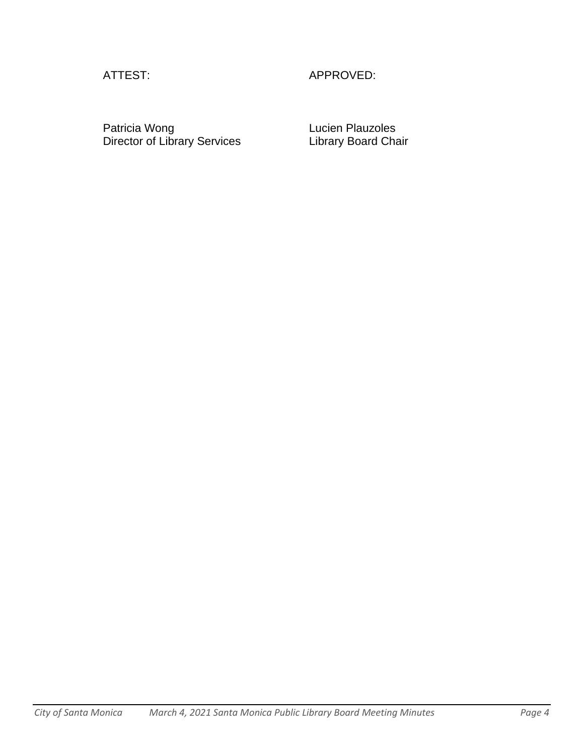# ATTEST: APPROVED:

Patricia Wong **Lucien Plauzoles** Director of Library Services Library Board Chair